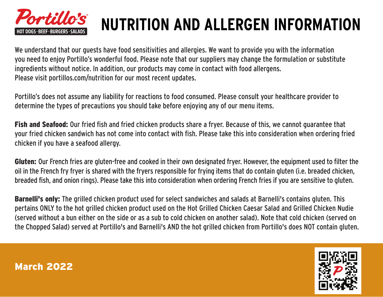

## **NUTRITION AND ALLERGEN INFORMATION**

We understand that our guests have food sensitivities and allergies. We want to provide you with the information you need to enjoy Portillo's wonderful food. Please note that our suppliers may change the formulation or substitute ingredients without notice. In addition, our products may come in contact with food allergens. Please visit portillos.com/nutrition for our most recent updates.

Portillo's does not assume any liability for reactions to food consumed. Please consult your healthcare provider to determine the types of precautions you should take before enjoying any of our menu items.

Fish and Seafood: Our fried fish and fried chicken products share a fryer. Because of this, we cannot guarantee that your fried chicken sandwich has not come into contact with fish. Please take this into consideration when ordering fried chicken if you have a seafood allergy.

Gluten: Our French fries are gluten-free and cooked in their own designated fryer. However, the equipment used to filter the oil in the French fry fryer is shared with the fryers responsible for frying items that do contain gluten (i.e. breaded chicken, breaded fish, and onion rings). Please take this into consideration when ordering French fries if you are sensitive to gluten.

Barnelli's only: The grilled chicken product used for select sandwiches and salads at Barnelli's contains gluten. This pertains ONLY to the hot grilled chicken product used on the Hot Grilled Chicken Caesar Salad and Grilled Chicken Nudie (served without a bun either on the side or as a sub to cold chicken on another salad). Note that cold chicken (served on the Chopped Salad) served at Portillo's and Barnelli's AND the hot grilled chicken from Portillo's does NOT contain gluten.

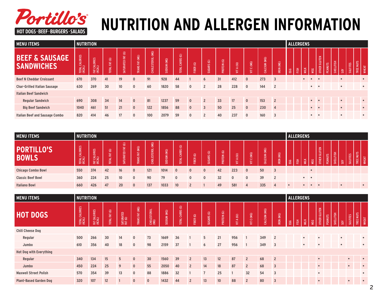

## **NUTRITION AND ALLERGEN INFORMATION**

| <b>MENU ITEMS</b>                              | <b>NUTRITION</b>         |                        |               |                                            |                       |                            |             |                                         |              |                                                      |                                  |                        |                      |                 |                     | <b>ALLERGENS</b> |   |             |                          |                |           |                |                 |                                        |
|------------------------------------------------|--------------------------|------------------------|---------------|--------------------------------------------|-----------------------|----------------------------|-------------|-----------------------------------------|--------------|------------------------------------------------------|----------------------------------|------------------------|----------------------|-----------------|---------------------|------------------|---|-------------|--------------------------|----------------|-----------|----------------|-----------------|----------------------------------------|
| <b>BEEF &amp; SAUSAGE</b><br><b>SANDWICHES</b> | TOTAL CALORIES<br>(KCAL) | FAT CALORIES<br>(KCAL) | TOTAL FAT (G) | $\widehat{\mathfrak{S}}$<br>퇽<br>SATURATED | <b>TRANS FAT (MG)</b> | (MG)<br><b>CHOLESTEROL</b> | SODIUM (MG) | $\circledcirc$<br>CARBS<br><b>TOTAL</b> | FIBER (G)    | $\vert \widehat{\mathfrak{S}}\vert$<br><b>SUGARS</b> | $\circledcirc$<br><b>PROTEIN</b> | (≘∣<br>$\epsilon$<br>ŧ | (MG)<br>$\circ$<br>ŧ | (aw)<br>CALCIUM | (MG)<br><b>IRON</b> | EGG              | 준 | MILK<br>MSG | GLUTEN<br><b>OTHER</b>   | <b>PEANUTS</b> | SHELLFISH | $\overline{S}$ | <b>SULFITES</b> | <b>SLIN</b><br>호<br>TREE<br><b>WHE</b> |
| <b>Beef N Cheddar Croissant</b>                | 670                      | 370                    | 41            | 19                                         | $\mathbf{0}$          | 91                         | 928         | 44                                      |              | 6                                                    | 31                               | 412                    | $\mathbf{0}$         | 273             | $\overline{3}$      |                  |   |             |                          |                |           |                |                 | $\bullet$                              |
| <b>Char-Grilled Italian Sausage</b>            | 630                      | 269                    | 30            | 10                                         | $\mathbf{0}$          | 60                         | 1820        | 58                                      | $\mathbf{0}$ | $\overline{2}$                                       | 28                               | 228                    | $\mathbf{0}$         | 144             | $\overline{2}$      |                  |   | $\bullet$   |                          |                |           | $\bullet$      |                 | $\bullet$                              |
| <b>Italian Beef Sandwich</b>                   |                          |                        |               |                                            |                       |                            |             |                                         |              |                                                      |                                  |                        |                      |                 |                     |                  |   |             |                          |                |           |                |                 |                                        |
| <b>Regular Sandwich</b>                        | 690                      | 308                    | 34            | 14                                         | $\mathbf{0}$          | 81                         | 1237        | 59                                      | $\mathbf{0}$ | $\overline{2}$                                       | 33                               | 17                     | $\mathbf{0}$         | 153             | $\overline{2}$      |                  |   | $\bullet$   | $\overline{\phantom{a}}$ |                |           | $\bullet$      |                 | $\bullet$                              |
| <b>Big Beef Sandwich</b>                       | 1040                     | 461                    | 51            | 21                                         | $\mathbf{0}$          | 122                        | 1856        | 88                                      | $\mathbf{0}$ | 3                                                    | 50                               | 25                     | $\mathbf{0}$         | 230             | $\overline{4}$      |                  |   | $\bullet$   |                          |                |           |                |                 | $\bullet$                              |
| <b>Italian Beef and Sausage Combo</b>          | 820                      | 414                    | 46            | 17                                         | $\mathbf{0}$          | 100                        | 2079        | 59                                      | $\mathbf{0}$ | $\overline{2}$                                       | 40                               | 237                    | $\mathbf{0}$         | 160             | $\overline{3}$      |                  |   | $\bullet$   |                          |                |           |                |                 | $\bullet$                              |

| <b>MENU ITEMS</b>                 | <b>NUTRITION</b>                     |                        |                              |                                                   |                           |                            |                |                                          |                                   |                                 |             |                      |                      |                            |                     |             | <b>ALLERGENS</b> |                        |            |                               |         |           |   |                 |                               |
|-----------------------------------|--------------------------------------|------------------------|------------------------------|---------------------------------------------------|---------------------------|----------------------------|----------------|------------------------------------------|-----------------------------------|---------------------------------|-------------|----------------------|----------------------|----------------------------|---------------------|-------------|------------------|------------------------|------------|-------------------------------|---------|-----------|---|-----------------|-------------------------------|
| <b>PORTILLO'S</b><br><b>BOWLS</b> | <b>ORIES</b><br>TOTAL CALO<br>(KCAL) | FAT CALORIES<br>(KCAL) | $\odot$<br>区<br><b>TOTAL</b> | $\widehat{\mathfrak{S}}$<br>볹<br><b>SATURATED</b> | (MG)<br>区<br><b>TRANS</b> | (MG)<br><b>CHOLESTEROL</b> | (MG)<br>SODIUM | ම<br>$\sim$<br>ARB.<br>ت<br><b>TOTAL</b> | $\widehat{\mathfrak{S}}$<br>FIBER | $\circledcirc$<br><b>SUGARS</b> | PROTEIN (G) | ⊜<br>$\epsilon$<br>능 | (MG)<br>$\circ$<br>등 | (MG)<br><b>ALCIUM</b><br>ت | (MG)<br><b>IRON</b> | ${\sf EGG}$ | FISH             | MILK                   | <b>NSG</b> | <b>GLUTEN</b><br><b>OTHER</b> | PEANUTS | SHELLFISH | S | <b>SULFITES</b> | NUTS<br>호<br>TREE<br>当<br>WHE |
| <b>Chicago Combo Bowl</b>         | 550                                  | 374                    | 42                           | 16                                                | $\mathbf{0}$              | 121                        | 1014           | $\mathbf{0}$                             | $\Omega$                          | $\mathbf{0}$                    | 42          | 223                  |                      | 50                         |                     |             |                  |                        |            |                               |         |           |   |                 |                               |
| <b>Classic Beef Bowl</b>          | 360                                  | 224                    | 25                           | 10                                                | $\mathbf{0}$              | 90                         | 79             | $\mathbf{0}$                             | 0                                 | $\mathbf{0}$                    | 32          |                      |                      | 39                         |                     |             |                  | $\bullet\qquad\bullet$ |            |                               |         |           |   |                 |                               |
| <b>Italiano Bowl</b>              | 660                                  | 426                    | 47                           | 20                                                | $\mathbf{0}$              | 137                        | 1033           | 10                                       |                                   |                                 | 49          | 581                  |                      | 335                        |                     | $\bullet$   |                  |                        |            | $\bullet$                     |         |           |   |                 |                               |

| <b>MENU ITEMS</b>              | <b>NUTRITION</b>         |                        |               |                      |                |                     |             |                           |                |                       |             |               |                |              |                |     | <b>ALLERGENS</b> |           |           |                               |                      |              |                 |           |              |
|--------------------------------|--------------------------|------------------------|---------------|----------------------|----------------|---------------------|-------------|---------------------------|----------------|-----------------------|-------------|---------------|----------------|--------------|----------------|-----|------------------|-----------|-----------|-------------------------------|----------------------|--------------|-----------------|-----------|--------------|
| <b>HOT DOGS</b>                | TOTAL CALORIES<br>(KCAL) | FAT CALORIES<br>(KCAL) | TOTAL FAT (G) | SATURATED<br>FAT (G) | TRANS FAT (MG) | CHOLESTEROL<br>(MG) | SODIUM (MG) | CARBS (G)<br><b>TOTAL</b> | FIBER (G)      | SUGARS <sub>(G)</sub> | PROTEIN (G) | A (IU)<br>ξĒ, | C(MG)<br>ξ     | CALCIUM (MG) | IRON (MG)      | EGG | FISH             | MILK      | MSG       | <b>GLUTEN</b><br><b>OTHER</b> | SHELLFISH<br>PEANUTS | $_{\rm SOY}$ | <b>SULFITES</b> | TREE NUTS | <b>WHEAT</b> |
| <b>Chili Cheese Dog</b>        |                          |                        |               |                      |                |                     |             |                           |                |                       |             |               |                |              |                |     |                  |           |           |                               |                      |              |                 |           |              |
| Regular                        | 500                      | 266                    | 30            | 14                   | $\mathbf{0}$   | 73                  | 1669        | 36                        |                | 5                     | 21          | 956           |                | 349          | $\overline{2}$ |     |                  | $\bullet$ | $\bullet$ |                               |                      | $\bullet$    |                 |           | $\bullet$    |
| Jumbo                          | 610                      | 356                    | 40            | 18                   | $\mathbf{0}$   | 98                  | 2159        | 37                        |                | 6                     | 27          | 956           |                | 349          | 3              |     |                  | $\bullet$ |           |                               |                      | $\bullet$    |                 |           | $\bullet$    |
| <b>Hot Dog with Everything</b> |                          |                        |               |                      |                |                     |             |                           |                |                       |             |               |                |              |                |     |                  |           |           |                               |                      |              |                 |           |              |
| Regular                        | 340                      | 134                    | 15            | 5                    | $\mathbf{0}$   | 30                  | 1560        | 39                        | $\overline{2}$ | 13                    | 12          | 87            | $\overline{2}$ | 68           | $\overline{2}$ |     |                  |           | $\bullet$ |                               |                      |              | $\bullet$       |           | $\bullet$    |
| Jumbo                          | 450                      | 224                    | 25            | 9                    | $\mathbf{0}$   | 55                  | 2050        | 40                        | $\overline{2}$ | 14                    | 18          | 87            | $\overline{2}$ | 68           | $\overline{3}$ |     |                  |           | $\bullet$ |                               |                      |              |                 |           | $\bullet$    |
| <b>Maxwell Street Polish</b>   | 570                      | 354                    | 39            | 13                   | $\mathbf 0$    | 88                  | 1886        | 32                        |                |                       | 25          |               | 32             | 54           | 3              |     |                  |           | $\bullet$ |                               |                      |              |                 |           | $\bullet$    |
| <b>Plant-Based Garden Dog</b>  | 320                      | 107                    | 12            |                      | $\mathbf{0}$   | $\mathbf{0}$        | 1432        | 44                        | $\overline{2}$ | 13                    | 10          | 88            | $\overline{2}$ | 80           | $\overline{3}$ |     |                  |           | $\bullet$ |                               |                      |              |                 |           | $\bullet$    |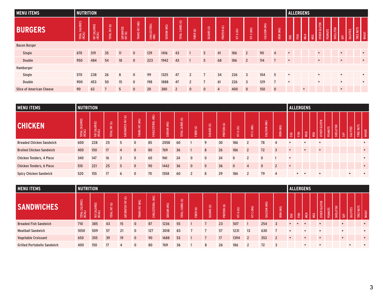| <b>MENU ITEMS</b>               | <b>NUTRITION</b>         |                        |               |                      |                |                     |             |                                                              |                |                       |                |             |                |              |                |             | <b>ALLERGENS</b> |             |     |              |                |           |                 |                                       |              |
|---------------------------------|--------------------------|------------------------|---------------|----------------------|----------------|---------------------|-------------|--------------------------------------------------------------|----------------|-----------------------|----------------|-------------|----------------|--------------|----------------|-------------|------------------|-------------|-----|--------------|----------------|-----------|-----------------|---------------------------------------|--------------|
| <b>BURGERS</b>                  | TOTAL CALORIES<br>(KCAL) | FAT CALORIES<br>(KCAL) | TOTAL FAT (G) | SATURATED<br>FAT (G) | TRANS FAT (MG) | CHOLESTEROL<br>(MG) | SODIUM (MG) | $\vert \widehat{\mathfrak{S}}\vert$<br>CARBS<br><b>TOTAL</b> | FIBER (G)      | SUGARS <sub>(G)</sub> | PROTEIN (G)    | A (IU)<br>這 | VITC (MG)      | CALCIUM (MG) | IRON (MG)      | ${\tt EGG}$ | 图                | <b>MILK</b> | MSG | OTHER GLUTEN | <b>PEANUTS</b> | SHELLFISH | $\frac{50}{50}$ | <b>Sun</b><br><b>SULFITES</b><br>TREE | <b>WHEAT</b> |
| <b>Bacon Burger</b>             |                          |                        |               |                      |                |                     |             |                                                              |                |                       |                |             |                |              |                |             |                  |             |     |              |                |           |                 |                                       |              |
| Single                          | 670                      | 319                    | 35            | 11                   | $\mathbf{0}$   | 129                 | 1416        | 43                                                           |                | 5                     | 41             | 186         | $\overline{2}$ | 90           | $\overline{4}$ | $\bullet$   |                  |             |     | $\bullet$    |                | $\bullet$ |                 |                                       |              |
| <b>Double</b>                   | 950                      | 484                    | 54            | 18                   | $\mathbf{0}$   | 223                 | 1942        | 43                                                           |                | 5                     | 68             | 186         | $\overline{2}$ | 114          | $\overline{7}$ | $\bullet$   |                  |             |     | $\bullet$    |                | $\bullet$ |                 |                                       | $\bullet$    |
| Hamburger                       |                          |                        |               |                      |                |                     |             |                                                              |                |                       |                |             |                |              |                |             |                  |             |     |              |                |           |                 |                                       |              |
| Single                          | 570                      | 238                    | 26            | 8                    | $\mathbf 0$    | 99                  | 1325        | 47                                                           | $\overline{2}$ | 7                     | 34             | 226         | 3              | 104          | 5              | $\bullet$   |                  |             |     | $\bullet$    |                | $\bullet$ |                 |                                       | $\bullet$    |
| Double                          | 900                      | 453                    | 50            | 15                   | $\mathbf 0$    | 198                 | 1888        | 47                                                           | $\overline{2}$ |                       | 61             | 226         | $\overline{3}$ | 129          |                | $\bullet$   |                  |             |     | $\bullet$    |                | $\bullet$ |                 |                                       | $\bullet$    |
| <b>Slice of American Cheese</b> | 90                       | 63                     |               | 5                    | $\mathbf{0}$   | 20                  | 380         | $\overline{2}$                                               | $\mathbf{0}$   | $\mathbf{0}$          | $\overline{4}$ | 400         | $\mathbf{0}$   | 150          | $\overline{0}$ |             |                  | $\bullet$   |     |              |                | $\bullet$ |                 |                                       |              |

| <b>MENU ITEMS</b>               | <b>NUTRITION</b> |                        |                           |                                            |                                      |                            |             |                                                              |              |                                           |             |                                    |                      |                     |                     | <b>ALLERGENS</b> |           |           |     |                               |             |        |   |                 |                       |
|---------------------------------|------------------|------------------------|---------------------------|--------------------------------------------|--------------------------------------|----------------------------|-------------|--------------------------------------------------------------|--------------|-------------------------------------------|-------------|------------------------------------|----------------------|---------------------|---------------------|------------------|-----------|-----------|-----|-------------------------------|-------------|--------|---|-----------------|-----------------------|
| <b>CHICKEN</b>                  | TOTAL CALORIES   | FAT CALORIES<br>(KCAL) | $\copyright$<br>TOTAL FAT | $\widehat{\mathfrak{S}}$<br>톤<br>SATURATED | $\overline{\mathbf{3}}$<br>TRANS FAT | (MG)<br><b>CHOLESTEROL</b> | SODIUM (MG) | $\widehat{\mathfrak{S}}$<br><b>ARBS</b><br>ت<br><b>TOTAL</b> | FIBER (G)    | $\widehat{\mathfrak{S}}$<br><b>SUGARS</b> | PROTEIN (G) | $\widehat{\Xi}$<br>$\epsilon$<br>ŧ | (MG)<br>$\circ$<br>ŧ | (MG)<br>ALCIUM<br>ت | (MG)<br><b>IRON</b> | ${\tt EGG}$      | 쯢         | MILK      | MSG | <b>GLUTEN</b><br><b>OTHER</b> | ٣<br>PEANUT | 圖<br>퓛 | S | <b>SULFITES</b> | NUTS<br>WHEAT<br>TREE |
| <b>Breaded Chicken Sandwich</b> | 600              | 228                    | 25                        | 5                                          | $\Omega$                             | 85                         | 2058        | 60                                                           |              | 9                                         | 30          | 186                                |                      | 78                  |                     | $\bullet$        |           | $\bullet$ |     | $\bullet$                     |             |        |   |                 | $\bullet$             |
| <b>Broiled Chicken Sandwich</b> | 400              | 150                    | 17                        | $\overline{A}$                             | $\mathbf{0}$                         | 80                         | 769         | 36                                                           |              | 8                                         | 26          | 186                                | $\overline{2}$       | 72                  | $\overline{3}$      | $\bullet$        |           |           |     | $\bullet$                     |             |        |   |                 | $\bullet$             |
| <b>Chicken Tenders, 4 Piece</b> | 340              | 147                    | 16                        | 3                                          | $\mathbf{0}$                         | 60                         | 961         | 24                                                           | $\mathbf{0}$ | $\mathbf{0}$                              | 24          | $\mathbf{0}$                       |                      | $\Omega$            |                     | $\bullet$        |           |           |     |                               |             |        |   |                 | $\bullet$             |
| <b>Chicken Tenders, 6 Piece</b> | 510              | 221                    | 25                        | 5                                          | $\mathbf{0}$                         | 90                         | 1442        | 36                                                           | $\mathbf{0}$ | $\mathbf{0}$                              | 36          | $\mathbf{0}$                       |                      | $\mathbf{0}$        | $\overline{2}$      | $\bullet$        |           |           |     |                               |             |        |   |                 | $\bullet$             |
| <b>Spicy Chicken Sandwich</b>   | 520              | 155                    | 17                        | 6                                          | $\mathbf{0}$                         | 70                         | 1558        | 60                                                           |              | 8                                         | 29          | 186                                |                      | 79                  | 4                   |                  | $\bullet$ |           |     |                               |             |        |   |                 |                       |

| <b>MENU ITEMS</b>                  | <b>NUTRITION</b>                                   |                                           |                                         |                                            |                           |                            |                       |                                            |           |                                           |             |                                       |                 |                                     |                     |           |      | <b>ALLERGENS</b> |     |                               |                |           |                        |                                 |               |
|------------------------------------|----------------------------------------------------|-------------------------------------------|-----------------------------------------|--------------------------------------------|---------------------------|----------------------------|-----------------------|--------------------------------------------|-----------|-------------------------------------------|-------------|---------------------------------------|-----------------|-------------------------------------|---------------------|-----------|------|------------------|-----|-------------------------------|----------------|-----------|------------------------|---------------------------------|---------------|
| <b>SANDWICHES</b>                  | <b>ORIES</b><br>₹<br>ං<br><b>TOTAL</b> (<br>(KCAL) | S<br><b>BE</b><br>$\frac{FAT CAL}{NCAL)}$ | $\circledcirc$<br>$\Xi$<br><b>TOTAL</b> | $\widehat{\mathfrak{S}}$<br>눈<br>SATURATED | (MG)<br>E<br><b>TRANS</b> | (MG)<br><b>CHOLESTEROL</b> | (MG)<br><b>NUIDOS</b> | $\odot$<br><b>ARBS</b><br>ت<br><b>TATO</b> | FIBER (G) | $\widehat{\mathfrak{S}}$<br><b>SUGARS</b> | PROTEIN (G) | $\equiv$<br>$\blacktriangleleft$<br>生 | (0 M)<br>ت<br>生 | (MG)<br><b>ALCIUM</b><br>$\epsilon$ | (MG)<br><b>IRON</b> | EGG       | ESH. | <b>MILK</b>      | MSG | <b>GLUTEN</b><br><b>OTHER</b> | <b>PEANUTS</b> | SHELLFISH | $\overline{\text{SO}}$ | <b>NUTS</b><br>SULFITES<br>TREE | EAT<br>$\geq$ |
| <b>Breaded Fish Sandwich</b>       | 710                                                | 385                                       | 43                                      | 15                                         |                           | 87                         | 1236                  | 55                                         |           |                                           | 23          | 507                                   |                 | 254                                 |                     | $\bullet$ |      |                  |     |                               |                |           |                        |                                 |               |
| <b>Meatball Sandwich</b>           | 1050                                               | 509                                       | 57                                      | 21                                         | $\mathbf{0}$              | 127                        | 3018                  | 83                                         |           |                                           | 57          | 1231                                  | 13              | 630                                 |                     | $\bullet$ |      |                  |     |                               |                |           |                        |                                 | $\bullet$     |
| <b>Vegetable Croissant</b>         | 650                                                | 355                                       | 39                                      | 19                                         | $\mathbf{0}$              | 90                         | 1688                  | 53                                         |           |                                           | 17          | 1394                                  |                 | 353                                 |                     | $\bullet$ |      |                  |     |                               |                |           |                        |                                 | $\bullet$     |
| <b>Grilled Portobello Sandwich</b> | 400                                                | 150                                       | 17                                      | 4                                          | 0                         | 80                         | 769                   | 36                                         |           | 8                                         | 26          | 186                                   |                 | 72                                  |                     |           |      |                  |     |                               |                |           |                        |                                 |               |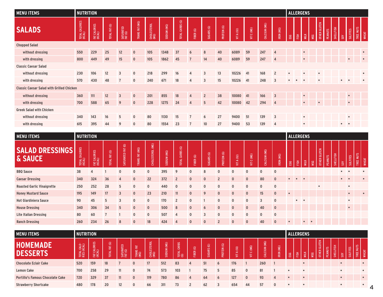| <b>MENU ITEMS</b>                                | <b>NUTRITION</b>         |                        |               |                      |                |                     |             |                 |                |                       |             |            |            |              |                | <b>ALLERGENS</b> |           |           |           |                     |                             |           |                          |           |              |
|--------------------------------------------------|--------------------------|------------------------|---------------|----------------------|----------------|---------------------|-------------|-----------------|----------------|-----------------------|-------------|------------|------------|--------------|----------------|------------------|-----------|-----------|-----------|---------------------|-----------------------------|-----------|--------------------------|-----------|--------------|
| <b>SALADS</b>                                    | TOTAL CALORIES<br>(KCAL) | FAT CALORIES<br>(KCAL) | TOTAL FAT (G) | SATURATED<br>FAT (G) | TRANS FAT (MG) | CHOLESTEROL<br>(MG) | SODIUM (MG) | TOTAL CARBS (G) | FIBER (G)      | SUGARS <sub>(G)</sub> | PROTEIN (G) | VIT A (IU) | VIT C (MG) | CALCIUM (MG) | IRON (MG)      | EGG              | FISH      | MILK      | MSG       | <b>OTHER GLUTEN</b> | SHELLFISH<br><b>PEANUTS</b> | S         | <b>SULFITES</b>          | TREE NUTS | <b>WHEAT</b> |
| <b>Chopped Salad</b>                             |                          |                        |               |                      |                |                     |             |                 |                |                       |             |            |            |              |                |                  |           |           |           |                     |                             |           |                          |           |              |
| without dressing                                 | 550                      | 229                    | 25            | 12                   | $\mathbf{0}$   | 105                 | 1348        | 37              | 6              | 8                     | 40          | 6089       | 59         | 247          | $\overline{4}$ |                  |           | $\bullet$ |           |                     |                             |           |                          |           | $\bullet$    |
| with dressing                                    | 800                      | 449                    | 49            | 15                   | $\mathbf{0}$   | 105                 | 1862        | 45              | $\overline{7}$ | 14                    | 40          | 6089       | 59         | 247          | $\overline{4}$ |                  |           | $\bullet$ |           |                     |                             |           |                          |           | $\bullet$    |
| <b>Classic Caesar Salad</b>                      |                          |                        |               |                      |                |                     |             |                 |                |                       |             |            |            |              |                |                  |           |           |           |                     |                             |           |                          |           |              |
| without dressing                                 | 230                      | 106                    | 12            | 3                    | $\mathbf 0$    | 218                 | 299         | 16              | 4              | 3                     | 13          | 10226      | 41         | 168          | $\overline{2}$ | $\bullet$        |           | $\bullet$ | $\bullet$ |                     |                             |           |                          |           | $\bullet$    |
| with dressing                                    | 570                      | 430                    | 48            | $\overline{7}$       | $\mathbf 0$    | 240                 | 671         | 18              | 4              | 3                     | 15          | 10226      | 41         | 248          | 3              | $\bullet$        | $\bullet$ | $\bullet$ |           |                     |                             | $\bullet$ |                          |           |              |
| <b>Classic Caesar Salad with Grilled Chicken</b> |                          |                        |               |                      |                |                     |             |                 |                |                       |             |            |            |              |                |                  |           |           |           |                     |                             |           |                          |           |              |
| without dressing                                 | 360                      | 111                    | 12            | $\overline{3}$       | $\mathbf{0}$   | 201                 | 855         | 18              | $\overline{4}$ | $\overline{2}$        | 38          | 10080      | 41         | 166          | $\overline{3}$ |                  |           | $\bullet$ |           |                     |                             |           | $\bullet$                |           |              |
| with dressing                                    | 700                      | 588                    | 65            | 9                    | $\mathbf{0}$   | 228                 | 1275        | 24              | 4              | 5                     | 42          | 10080      | 42         | 294          | $\overline{4}$ |                  |           | $\bullet$ | $\bullet$ |                     |                             |           | $\bullet$                |           |              |
| <b>Greek Salad with Chicken</b>                  |                          |                        |               |                      |                |                     |             |                 |                |                       |             |            |            |              |                |                  |           |           |           |                     |                             |           |                          |           |              |
| without dressing                                 | 340                      | 143                    | 16            | 5                    | $\mathbf 0$    | 80                  | 1130        | 15              | $\overline{7}$ | 6                     | 27          | 9400       | 51         | 139          | $\overline{3}$ |                  |           | $\bullet$ |           |                     |                             |           | $\bullet$                |           |              |
| with dressing                                    | 615                      | 395                    | 44            | 9                    | $\mathbf 0$    | 80                  | 1554        | 23              | $\overline{7}$ | 10                    | 27          | 9400       | 53         | 139          | 4              |                  |           | $\bullet$ |           |                     |                             |           | $\bullet \qquad \bullet$ |           |              |

| <b>MENU ITEMS</b>                 | <b>NUTRITION</b>    |                        |                      |                   |                |                  |             |                                         |              |              |                          |                              |                |                        |                |            |           | <b>ALLERGENS</b> |           |                               |                |           |           |                 |                    |
|-----------------------------------|---------------------|------------------------|----------------------|-------------------|----------------|------------------|-------------|-----------------------------------------|--------------|--------------|--------------------------|------------------------------|----------------|------------------------|----------------|------------|-----------|------------------|-----------|-------------------------------|----------------|-----------|-----------|-----------------|--------------------|
| <b>SALAD DRESSINGS</b><br>& SAUCE | CALORIES<br>TOTAL C | FAT CALORIES<br>(KCAL) | <b>TOTAL FAT (G)</b> | SATURATED FAT (G) | TRANS FAT (MG) | CHOLESTEROL (MG) | SODIUM (MG) | $\circledcirc$<br>CARBS<br><b>LOTAL</b> | FIBER (G)    | SUGARS (G)   | PROTEIN (G)              | $\widehat{\Xi}$<br>E.T<br>Ξ. | (MG)<br>Ō<br>듷 | (MG)<br><b>CALCIUM</b> | IRON (MG)      | ${\tt EG}$ | 훈         | <b>MILK</b>      | MSG       | <b>GLUTEN</b><br><b>OTHER</b> | <b>PEANUTS</b> | SHELLFISH | SOY       | <b>SULFITES</b> | TREE NUTS<br>WHEAT |
| <b>BBQ Sauce</b>                  | 38                  | 4                      |                      | $\mathbf{0}$      | $\mathbf{0}$   | $\mathbf{0}$     | 395         | 9                                       | $\Omega$     | 8            | $\mathbf{0}$             | $\mathbf{0}$                 | 0              | $\mathbf{0}$           | $\mathbf{0}$   |            |           |                  |           |                               |                |           | $\bullet$ |                 |                    |
| <b>Caesar Dressing</b>            | 340                 | 324                    | 36                   | $\overline{4}$    | $\mathbf{0}$   | 22               | 372         | $\overline{2}$                          | $\mathbf{0}$ | $\mathbf{0}$ | $\overline{\phantom{a}}$ | $\mathbf{0}$                 | $\mathbf{0}$   | 80                     | $\mathbf{0}$   |            |           | $\bullet$        |           |                               |                |           | $\bullet$ |                 | $\bullet$          |
| <b>Roasted Garlic Vinaigrette</b> | 250                 | 252                    | 28                   | 5                 | $\mathbf{0}$   | $\mathbf{0}$     | 440         | $\Omega$                                | $\mathbf{0}$ | $\mathbf{0}$ | $\mathbf{0}$             | $\mathbf{0}$                 | $\mathbf{0}$   | $\mathbf{0}$           | $\mathbf{0}$   |            |           |                  |           | $\bullet$                     |                |           | $\bullet$ |                 |                    |
| <b>Honey Mustard Sauce</b>        | 195                 | 149                    | 17                   | $\overline{3}$    | $\mathbf{0}$   | 23               | 210         | 11                                      | $\mathbf{0}$ | 9            | $\mathbf{0}$             | $\mathbf{0}$                 | $\mathbf{0}$   | 15                     | $\mathbf{0}$   | $\bullet$  |           |                  |           |                               |                |           |           | $\bullet$       | $\bullet$          |
| <b>Hot Giardiniera Sauce</b>      | 90                  | 45                     | 5                    | $\overline{3}$    | $\mathbf{0}$   | $\mathbf{0}$     | 170         | $\overline{2}$                          | $\Omega$     |              | $\mathbf{0}$             | $\mathbf{0}$                 | $\mathbf{0}$   | 3                      | $\mathbf{0}$   |            | $\bullet$ | $\bullet$        |           |                               |                |           | $\bullet$ |                 |                    |
| <b>House Dressing</b>             | 340                 | 306                    | 34                   | 5                 | $\mathbf{0}$   | $\mathbf{0}$     | 500         | 8                                       | $\mathbf{0}$ | 6            | $\mathbf{0}$             | $\mathbf{0}$                 | $\mathbf{0}$   | 40                     | $\overline{0}$ |            |           |                  |           |                               |                |           | $\bullet$ |                 |                    |
| Lite Italian Dressing             | 80                  | 60                     |                      |                   | $\mathbf{0}$   | $\mathbf{0}$     | 507         | 4                                       | $\mathbf{0}$ | 3            | $\mathbf{0}$             | $\mathbf{0}$                 | $\mathbf 0$    | $\mathbf{0}$           | $\mathbf{0}$   |            |           |                  |           |                               |                |           |           |                 |                    |
| <b>Ranch Dressing</b>             | 260                 | 234                    | 26                   | 8                 | $\mathbf{0}$   | 18               | 424         | 4                                       | $\Omega$     | $\mathbf{0}$ | $\overline{2}$           | $\mathbf{0}$                 | $\mathbf{0}$   | 40                     | $\mathbf{0}$   | $\bullet$  |           | $\bullet$        | $\bullet$ |                               |                |           |           |                 |                    |

| <b>MENU ITEMS</b>                       | <b>NUTRITION</b>           |                        |                                               |                      |                    |             |                       |                       |                                          |                                         |                                     |                                       |                        |                                                  |                     |           |    | <b>ALLERGENS</b> |     |                        |               |                           |                 |                                |                |
|-----------------------------------------|----------------------------|------------------------|-----------------------------------------------|----------------------|--------------------|-------------|-----------------------|-----------------------|------------------------------------------|-----------------------------------------|-------------------------------------|---------------------------------------|------------------------|--------------------------------------------------|---------------------|-----------|----|------------------|-----|------------------------|---------------|---------------------------|-----------------|--------------------------------|----------------|
| <b>HOMEMADE</b><br><b>DESSERTS</b>      | TOTAL CALO-<br>RIES (KCAL) | FAT CALORIES<br>(KCAL) | $\overline{\mathfrak{S}}$<br><b>TOTAL FAT</b> | SATURATED<br>FAT (G) | 훈<br>TRANS<br>(MG) | CHOLESTEROL | (MG)<br><b>NUIGOS</b> | CARBS<br>TOTAL<br>(G) | $\widehat{\mathfrak{S}}$<br><b>FIBER</b> | $\widehat{\mathfrak{S}}$<br>ARS<br>mons | $\widehat{\mathfrak{S}}$<br>PROTEIN | $\widehat{\equiv}$<br>$\epsilon$<br>₩ | (MG)<br>$\bullet$<br>₹ | $\overline{8}$<br><b>Mnum</b><br>÷<br>$\epsilon$ | (0M)<br><b>IRON</b> | EGG       | EВ | MILK             | MSG | GLUTEN<br><b>OTHER</b> | <b>PEANUT</b> | <b>ESH</b><br><b>SHEL</b> | $\frac{50}{20}$ | $\sim$<br>쁜<br>$-$<br>$\equiv$ | 들<br>TREE<br>¥ |
| <b>Chocolate Eclair Cake</b>            | 520                        | 159                    | 18                                            |                      | $\mathbf{0}$       | 17          | 512                   | 83                    | $\Delta$                                 | 51                                      | $\mathbf{b}$                        | 176                                   |                        | 260                                              |                     |           |    |                  |     |                        |               |                           |                 |                                | $\bullet$      |
| <b>Lemon Cake</b>                       | 700                        | 258                    | 29                                            | 11                   | $\Omega$           | 74          | 573                   | 103                   |                                          | 75                                      |                                     | 85                                    |                        | 81                                               |                     | $\bullet$ |    | $\bullet$        |     |                        |               |                           | $\bullet$       |                                | $\bullet$      |
| <b>Portillo's Famous Chocolate Cake</b> | 720                        | 329                    | 37                                            | 11                   | $\Omega$           | 119         | 780                   | 86                    | Δ                                        | 64                                      | 6                                   | 127                                   |                        | 93                                               | Δ.                  |           |    |                  |     |                        |               |                           |                 |                                | $\bullet$      |
| <b>Strawberry Shortcake</b>             | 480                        | 178                    | 20                                            | 12                   | $\Omega$           | 66          | 311                   | 73                    |                                          | 62                                      |                                     | 654                                   | 44                     | 57                                               |                     |           |    | $\bullet$        |     |                        |               |                           |                 |                                | $\bullet$      |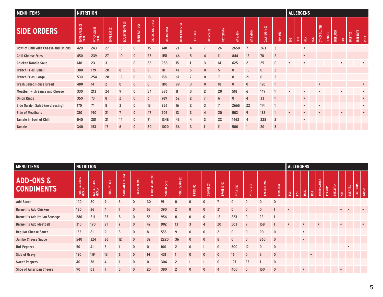| <b>MENU ITEMS</b>                           | <b>NUTRITION</b>         |                        |                |                   |                |                  |             |                 |                |                |             |              |                |              |                |             | <b>ALLERGENS</b> |           |     |                        |                |                       |                 |           |           |
|---------------------------------------------|--------------------------|------------------------|----------------|-------------------|----------------|------------------|-------------|-----------------|----------------|----------------|-------------|--------------|----------------|--------------|----------------|-------------|------------------|-----------|-----|------------------------|----------------|-----------------------|-----------------|-----------|-----------|
| <b>SIDE ORDERS</b>                          | TOTAL CALORIES<br>(KCAL) | FAT CALORIES<br>(KCAL) | TOTAL FAT (G)  | SATURATED FAT (G) | TRANS FAT (MG) | CHOLESTEROL (MG) | SODIUM (MG) | TOTAL CARBS (G) | FIBER (G)      | SUGARS (G)     | PROTEIN (G) | A(1U)<br>Ξ   | C(MG)<br>Ξ     | CALCIUM (MG) | IRON (MG)      | ${\tt EGG}$ | E                | MILK      | MSG | <b>GLUTEN</b><br>OTHER | <b>PEANUTS</b> | SHELLFISH<br>$\infty$ | <b>SULFITES</b> | TREE NUTS | WHEAT     |
| <b>Bowl of Chili with Cheese and Onions</b> | 420                      | 243                    | 27             | 13                | $\mathbf 0$    | 75               | 740         | 21              |                |                | 24          | 2650         |                | 263          | 3              |             |                  | $\bullet$ |     |                        |                |                       |                 |           |           |
| <b>Chili Cheese Fries</b>                   | 450                      | 239                    | 27             | 10                | $\mathbf{0}$   | 23               | 1151        | 46              | 5              | $\overline{4}$ | 11          | 844          | 12             | 78           | $\overline{2}$ |             |                  | $\bullet$ |     |                        |                |                       |                 |           |           |
| <b>Chicken Noodle Soup</b>                  | 140                      | 23                     | 3              |                   | $\mathbf 0$    | 38               | 988         | 15              |                | 3              | 14          | 625          | $\overline{2}$ | 25           | $\mathbf{0}$   |             |                  | $\bullet$ |     |                        |                | $\bullet$             |                 |           | $\bullet$ |
| <b>French Fries, Small</b>                  | 380                      | 179                    | 20             | 8                 | $\mathbf{0}$   | 9                | 111         | 47              | 5              | $\mathbf{0}$   | 5           | $\mathbf{0}$ | 15             | $\mathbf 0$  | $\overline{2}$ |             |                  |           |     |                        |                |                       |                 |           |           |
| French Fries, Large                         | 530                      | 254                    | 28             | 12                | $\mathbf 0$    | 13               | 158         | 67              |                | $\mathbf{0}$   |             | $\mathbf 0$  | 21             | $\mathbf 0$  | 3              |             |                  |           |     |                        |                |                       |                 |           |           |
| <b>Fresh Baked House Bread</b>              | 480                      | 14                     | $\overline{2}$ | $\mathbf{0}$      | $\mathbf{0}$   | $\mathbf{0}$     | 1110        | 99              | 3              | $\mathbf{0}$   | 18          | $\mathbf{0}$ | $\mathbf{0}$   | 120          |                |             |                  |           |     | $\bullet$              |                |                       |                 |           | $\bullet$ |
| <b>Meatball with Sauce and Cheese</b>       | 330                      | 213                    | 24             | 9                 | $\mathbf 0$    | 54               | 836         | 11              | 3              | $\overline{2}$ | 20          | 518          | 6              | 149          |                | $\bullet$   |                  | $\bullet$ |     | $\bullet$              |                | $\bullet$             |                 |           | $\bullet$ |
| <b>Onion Rings</b>                          | 350                      | 73                     | 8              | $\overline{2}$    | $\mathbf{0}$   | 6                | 789         | 62              | $\overline{2}$ | $\overline{7}$ | 6           | $\mathbf{0}$ | $\overline{4}$ | 33           |                |             |                  | $\bullet$ |     |                        |                |                       |                 |           | $\bullet$ |
| Side Garden Salad (no dressing)             | 170                      | 74                     | 8              | $\overline{3}$    | $\mathbf 0$    | 13               | 256         | 16              |                | 3              |             | 2665         | 22             | 114          |                |             |                  | $\bullet$ |     | $\bullet$              |                |                       |                 |           | $\bullet$ |
| <b>Side of Meatballs</b>                    | 310                      | 190                    | 21             |                   | $\mathbf 0$    | 47               | 902         | 13              | $\overline{3}$ | 4              | 20          | 503          | 9              | 158          |                |             |                  |           |     |                        |                |                       |                 |           |           |
| <b>Tamale in Bowl of Chili</b>              | 540                      | 281                    | 31             | 14                | $\mathbf 0$    | 71               | 1348        | 43              | 4              | 3              | 22          | 1463         | 4              | 238          | 3              |             |                  | $\bullet$ |     |                        |                |                       |                 |           |           |
| <b>Tamale</b>                               | 340                      | 153                    | 17             | 6                 | $\mathbf{0}$   | 30               | 1020        | 36              | $\overline{3}$ |                | 11          | 500          |                | 20           | $\overline{3}$ |             |                  |           |     |                        |                |                       |                 |           |           |

| <b>MENU ITEMS</b>                         | <b>NUTRITION</b>         |                                |                |                   |                |                  |             |                 |                         |                       |                |                      |              |              |                |             | <b>ALLERGENS</b> |             |           |                               |                |                  |               |                              |              |
|-------------------------------------------|--------------------------|--------------------------------|----------------|-------------------|----------------|------------------|-------------|-----------------|-------------------------|-----------------------|----------------|----------------------|--------------|--------------|----------------|-------------|------------------|-------------|-----------|-------------------------------|----------------|------------------|---------------|------------------------------|--------------|
| <b>ADD-ONS &amp;</b><br><b>CONDIMENTS</b> | TOTAL CALORIES<br>(KCAL) | CALORIES<br>:AL)<br><b>EXC</b> | TOTAL FAT (G)  | SATURATED FAT (G) | TRANS FAT (MG) | CHOLESTEROL (MG) | SODIUM (MG) | TOTAL CARBS (G) | FIBER (G)               | SUGARS <sub>(G)</sub> | PROTEIN (G)    | $\frac{1}{2}$<br>ξĒ, | VITC(MG)     | CALCIUM (MG) | IRON (MG)      | ${\tt EGG}$ | 준                | <b>MILK</b> | MSG       | <b>GLUTEN</b><br><b>OTHER</b> | <b>PEANUTS</b> | <b>SHELLFISH</b> | $\frac{5}{2}$ | TREE NUTS<br><b>SULFITES</b> | <b>WHEAT</b> |
| <b>Add Bacon</b>                          | 100                      | 80                             | 9              | $\overline{3}$    | $\mathbf 0$    | 30               | 91          | $\mathbf{0}$    | $\mathbf{0}$            | 0                     |                | $\mathbf 0$          | 0            | $\mathbf 0$  | $\mathbf 0$    |             |                  |             |           |                               |                |                  |               |                              |              |
| <b>Barnelli's Add Chicken</b>             | 130                      | 36                             | $\overline{4}$ |                   | $\mathbf{0}$   | 55               | 390         | $\overline{2}$  | $\mathbf{0}$            | $\mathbf{0}$          | 21             | $\mathbf{0}$         | $\mathbf{0}$ | $\mathbf{0}$ |                | $\bullet$   |                  |             |           |                               |                |                  | $\bullet$     |                              |              |
| <b>Barnelli's Add Italian Sausage</b>     | 280                      | 211                            | 23             | 8                 | $\mathbf{0}$   | 55               | 956         | $\mathbf{0}$    | $\mathbf 0$             | $\mathbf 0$           | 18             | 223                  | $\mathbf 0$  | 22           |                |             |                  |             |           |                               |                |                  |               |                              |              |
| <b>Barnelli's Add Meatball</b>            | 310                      | 190                            | 21             | $\overline{7}$    | $\mathbf{0}$   | 47               | 902         | 13              | $\overline{\mathbf{3}}$ | $\overline{4}$        | 20             | 503                  | 9            | 158          |                | $\bullet$   |                  | $\bullet$   |           | $\bullet$                     |                |                  | $\bullet$     |                              | $\bullet$    |
| <b>Regular Cheese Sauce</b>               | 135                      | 81                             | 9              | $\overline{3}$    | $\mathbf 0$    | 8                | 555         | 9               | $\mathbf 0$             | $\mathbf 0$           | $\overline{2}$ | $\mathbf 0$          | $\mathbf{0}$ | 90           | $\mathbf{0}$   |             |                  | $\bullet$   |           |                               |                |                  |               |                              |              |
| <b>Jumbo Cheese Sauce</b>                 | 540                      | 324                            | 36             | 12                | $\mathbf{0}$   | 32               | 2220        | 36              | $\mathbf{0}$            | $\mathbf{0}$          | 8              | $\mathbf{0}$         | $\mathbf{0}$ | 360          | $\overline{0}$ |             |                  | $\bullet$   |           |                               |                |                  |               |                              |              |
| <b>Hot Peppers</b>                        | 50                       | 41                             | 5              |                   | $\mathbf 0$    | $\mathbf 0$      | 100         | $\overline{2}$  | $\mathbf 0$             |                       | $\mathbf 0$    | 500                  | 12           | $\mathbf 0$  | $\mathbf 0$    |             |                  |             |           |                               |                |                  | $\bullet$     |                              |              |
| <b>Side of Gravy</b>                      | 120                      | 119                            | 13             | 6                 | $\mathbf{0}$   | 14               | 431         |                 | $\mathbf{0}$            | $\mathbf{0}$          | $\mathbf{0}$   | 16                   | $\mathbf{0}$ | 5            | $\mathbf{0}$   |             |                  |             | $\bullet$ |                               |                |                  |               |                              |              |
| <b>Sweet Peppers</b>                      | 40                       | 36                             |                |                   | $\mathbf 0$    | $\mathbf 0$      | 304         | $\overline{2}$  |                         |                       | $\mathbf{0}$   | 127                  | 25           |              | $\mathbf 0$    |             |                  |             |           |                               |                |                  |               |                              |              |
| <b>Slice of American Cheese</b>           | 90                       | 63                             |                | 5                 | $\mathbf{0}$   | 20               | 380         | $\overline{2}$  | $\mathbf{0}$            | $\mathbf{0}$          | $\overline{4}$ | 400                  | $\mathbf{0}$ | 150          | $\overline{0}$ |             |                  | $\bullet$   |           |                               |                |                  | $\bullet$     |                              |              |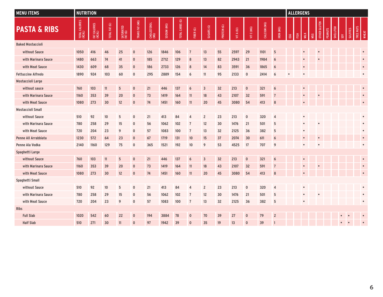| <b>MENU ITEMS</b>           | <b>NUTRITION</b>         |                        |               |                      |                |                     |             |                 |                |                         |             |            |              |              |                |           | <b>ALLERGENS</b> |           |     |                     |                |           |                 |                 |                           |
|-----------------------------|--------------------------|------------------------|---------------|----------------------|----------------|---------------------|-------------|-----------------|----------------|-------------------------|-------------|------------|--------------|--------------|----------------|-----------|------------------|-----------|-----|---------------------|----------------|-----------|-----------------|-----------------|---------------------------|
| <b>PASTA &amp; RIBS</b>     | TOTAL CALORIES<br>(KCAL) | FAT CALORIES<br>(KCAL) | TOTAL FAT (G) | SATURATED<br>FAT (G) | TRANS FAT (MG) | CHOLESTEROL<br>(MG) | SODIUM (MG) | TOTAL CARBS (G) | FIBER (G)      | SUGARS (G)              | PROTEIN (G) | VIT A (IU) | VITC (MG)    | CALCIUM (MG) | IRON (MG)      | EGG       | 준                |           | MSG | <b>OTHER GLUTEN</b> | <b>PEANUTS</b> | SHELLFISH | $\frac{50}{20}$ | <b>SULFITES</b> | TREE NUTS<br><b>WHEAT</b> |
| <b>Baked Mostaccioli</b>    |                          |                        |               |                      |                |                     |             |                 |                |                         |             |            |              |              |                |           |                  |           |     |                     |                |           |                 |                 |                           |
| without Sauce               | 1050                     | 416                    | 46            | 25                   | $\mathbf 0$    | 126                 | 1846        | 106             | $\overline{7}$ | 13                      | 55          | 2597       | 29           | 1101         | 5              |           |                  | $\bullet$ |     | $\epsilon$          |                |           |                 |                 | $\bullet$                 |
| with Marinara Sauce         | 1480                     | 663                    | 74            | 41                   | $\mathbf 0$    | 185                 | 2712        | 129             | 8              | 13                      | 82          | 2943       | 21           | 1984         | 6              |           |                  |           |     |                     |                |           |                 |                 | $\bullet$                 |
| with Meat Sauce             | 1430                     | 609                    | 68            | 35                   | $\mathbf 0$    | 186                 | 2733        | 126             | 8              | 14                      | 83          | 3591       | 36           | 1865         | 6              |           |                  | $\bullet$ |     |                     |                |           |                 |                 | $\bullet$                 |
| <b>Fettuccine Alfredo</b>   | 1890                     | 924                    | 103           | 60                   | $\bf{0}$       | 295                 | 2889        | 154             | 6              | 11                      | 95          | 2133       | $\mathbf 0$  | 2414         | 6              | $\bullet$ |                  | $\bullet$ |     |                     |                |           |                 |                 | $\bullet$                 |
| <b>Mostaccioli Large</b>    |                          |                        |               |                      |                |                     |             |                 |                |                         |             |            |              |              |                |           |                  |           |     |                     |                |           |                 |                 |                           |
| without sauce               | 760                      | 103                    | 11            | 5                    | $\mathbf 0$    | 21                  | 446         | 137             | 6              | $\overline{\mathbf{3}}$ | 32          | 213        | $\pmb{0}$    | 321          | 6              |           |                  | $\bullet$ |     |                     |                |           |                 |                 | $\bullet$                 |
| with Marinara Sauce         | 1160                     | 353                    | 39            | 20                   | $\mathbf 0$    | 73                  | 1419        | 164             | 11             | 18                      | 43          | 2107       | 32           | 591          | $\overline{7}$ |           |                  | $\bullet$ |     |                     |                |           |                 |                 | $\bullet$                 |
| with Meat Sauce             | 1080                     | 273                    | 30            | 12                   | $\mathbf 0$    | 74                  | 1451        | 160             | 11             | 20                      | 45          | 3080       | 54           | 413          | 8              |           |                  |           |     |                     |                |           |                 |                 | $\bullet$                 |
| <b>Mostaccioli Small</b>    |                          |                        |               |                      |                |                     |             |                 |                |                         |             |            |              |              |                |           |                  |           |     |                     |                |           |                 |                 |                           |
| without Sauce               | 510                      | 92                     | 10            | 5                    | $\mathbf 0$    | 21                  | 413         | 84              | $\overline{4}$ | $\sqrt{2}$              | 23          | 213        | $\pmb{0}$    | 320          | $\overline{4}$ |           |                  | $\bullet$ |     |                     |                |           |                 |                 | $\bullet$                 |
| with Marinara Sauce         | 780                      | 258                    | 29            | 15                   | $\mathbf 0$    | 56                  | 1062        | 102             | $\overline{7}$ | 12                      | 30          | 1476       | 21           | 501          | 5              |           |                  | $\bullet$ |     |                     |                |           |                 |                 | $\bullet$                 |
| with Meat Sauce             | 720                      | 204                    | 23            | 9                    | $\mathbf 0$    | 57                  | 1083        | 100             | $\overline{7}$ | 13                      | 32          | 2125       | 36           | 382          | 5              |           |                  |           |     |                     |                |           |                 |                 | $\bullet$                 |
| <b>Penne All Arrabbiata</b> | 1230                     | 572                    | 64            | 23                   | $\mathbf 0$    | 67                  | 1719        | 131             | 10             | 15                      | 37          | 2074       | 30           | 611          | 6              |           |                  |           |     |                     |                |           |                 |                 | $\bullet$                 |
| Penne Ala Vodka             | 2140                     | 1160                   | 129           | 75                   | $\mathbf 0$    | 365                 | 1521        | 192             | 10             | 9                       | 53          | 4525       | 17           | 707          | 9              |           |                  |           |     |                     |                |           |                 |                 | $\bullet$                 |
| Spaghetti Large             |                          |                        |               |                      |                |                     |             |                 |                |                         |             |            |              |              |                |           |                  |           |     |                     |                |           |                 |                 |                           |
| without Sauce               | 760                      | 103                    | 11            | 5                    | $\mathbf 0$    | 21                  | 446         | 137             | 6              | $\overline{3}$          | 32          | 213        | $\mathbf 0$  | 321          | 6              |           |                  | $\bullet$ |     |                     |                |           |                 |                 | $\bullet$                 |
| with Marinara Sauce         | 1160                     | 353                    | 39            | 20                   | $\mathbf 0$    | 73                  | 1419        | 164             | 11             | 18                      | 43          | 2107       | 32           | 591          | $\overline{7}$ |           |                  | $\bullet$ |     |                     |                |           |                 |                 | $\bullet$                 |
| with Meat Sauce             | 1080                     | 273                    | 30            | 12                   | $\mathbf 0$    | 74                  | 1451        | 160             | 11             | 20                      | 45          | 3080       | 54           | 413          | 8              |           |                  |           |     |                     |                |           |                 |                 | $\bullet$                 |
| Spaghetti Small             |                          |                        |               |                      |                |                     |             |                 |                |                         |             |            |              |              |                |           |                  |           |     |                     |                |           |                 |                 |                           |
| without Sauce               | 510                      | 92                     | 10            | 5                    | $\mathbf 0$    | 21                  | 413         | 84              | $\overline{4}$ | $\overline{2}$          | 23          | 213        | $\mathbf 0$  | 320          | $\overline{4}$ |           |                  | $\bullet$ |     |                     |                |           |                 |                 | $\bullet$                 |
| with Marinara Sauce         | 780                      | 258                    | 29            | 15                   | $\mathbf 0$    | 56                  | 1062        | 102             | $\overline{7}$ | 12                      | 30          | 1476       | 21           | 501          | 5              |           |                  | $\bullet$ |     |                     |                |           |                 |                 | $\bullet$                 |
| with Meat Sauce             | 720                      | 204                    | 23            | 9                    | $\mathbf 0$    | 57                  | 1083        | 100             | $\overline{7}$ | 13                      | 32          | 2125       | 36           | 382          | 5              |           |                  | $\bullet$ |     |                     |                |           |                 |                 | $\bullet$                 |
| <b>Ribs</b>                 |                          |                        |               |                      |                |                     |             |                 |                |                         |             |            |              |              |                |           |                  |           |     |                     |                |           |                 |                 |                           |
| <b>Full Slab</b>            | 1020                     | 542                    | 60            | 22                   | $\mathbf{0}$   | 194                 | 3884        | 78              | $\mathbf{0}$   | 70                      | 39          | 27         | $\mathbf{0}$ | 79           | $\overline{2}$ |           |                  |           |     |                     |                |           |                 |                 |                           |
| <b>Half Slab</b>            | 510                      | 271                    | 30            | 11                   | $\mathbf{0}$   | 97                  | 1942        | 39              | $\mathbf{0}$   | 35                      | 19          | 13         | $\mathbf{0}$ | 39           | $\mathbf{1}$   |           |                  |           |     |                     |                |           |                 |                 |                           |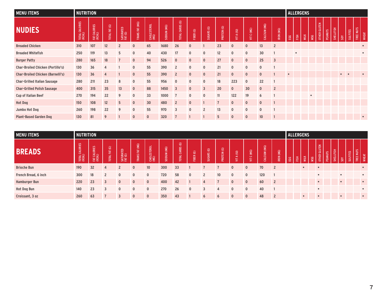| <b>MENU ITEMS</b>                        | <b>NUTRITION</b>    |                        |               |                      |                |                     |             |                         |              |                         |                |              |              |              |                | <b>ALLERGENS</b> |                        |      |           |                               |         |           |                        |                 |                           |  |
|------------------------------------------|---------------------|------------------------|---------------|----------------------|----------------|---------------------|-------------|-------------------------|--------------|-------------------------|----------------|--------------|--------------|--------------|----------------|------------------|------------------------|------|-----------|-------------------------------|---------|-----------|------------------------|-----------------|---------------------------|--|
| <b>NUDIES</b>                            | CALORIES<br>TOTAL O | FAT CALORIES<br>(KCAL) | TOTAL FAT (G) | SATURATED<br>FAT (G) | TRANS FAT (MG) | CHOLESTEROL<br>(MG) | SODIUM (MG) | TOTAL CARBS (G)         | FIBER (G)    | SUGARS <sub>(G)</sub>   | PROTEIN (G)    | VIT A (IU)   | C (MG)<br>Ę  | CALCIUM (MG) | IRON (MG)      | $_{\rm{EGG}}$    | $\overline{\text{EB}}$ | MILK | MSG       | <b>GLUTEN</b><br><b>OTHER</b> | PEANUTS | SHELLFISH | S                      | <b>SULFITES</b> | TREE NUTS<br><b>WHEAT</b> |  |
| <b>Breaded Chicken</b>                   | 310                 | 107                    | 12            | $\overline{2}$       | $\mathbf{0}$   | 65                  | 1680        | 26                      | $\mathbf{0}$ |                         | 23             | $\mathbf{0}$ | $\mathbf{0}$ | 13           | $\overline{2}$ |                  |                        |      |           |                               |         |           |                        |                 |                           |  |
| <b>Breaded Whitefish</b>                 | 250                 | 119                    | 13            | 5                    | $\mathbf 0$    | 40                  | 430         | 17                      | $\mathbf 0$  | $\mathbf 0$             | 12             | $\mathbf{0}$ | $\mathbf{0}$ | 30           |                |                  | $\bullet$              |      |           |                               |         |           |                        |                 | $\bullet$                 |  |
| <b>Burger Patty</b>                      | 280                 | 165                    | 18            | $\overline{7}$       | $\mathbf{0}$   | 94                  | 526         | $\overline{0}$          | $\mathbf{0}$ | $\mathbf{0}$            | 27             | $\mathbf{0}$ | $\mathbf{0}$ | 25           | $\overline{3}$ |                  |                        |      |           |                               |         |           |                        |                 |                           |  |
| <b>Char-Broiled Chicken (Portillo's)</b> | 130                 | 36                     | 4             |                      | $\mathbf{0}$   | 55                  | 390         | $\overline{2}$          | $\mathbf{0}$ | $\mathbf 0$             | 21             | $\mathbf{0}$ | $\mathbf{0}$ | $\mathbf 0$  |                |                  |                        |      |           |                               |         |           |                        |                 |                           |  |
| <b>Char-Broiled Chicken (Barnelli's)</b> | 130                 | 36                     | 4             |                      | $\mathbf{0}$   | 55                  | 390         | $\overline{2}$          | $\mathbf{0}$ | $\mathbf{0}$            | 21             | $\mathbf{0}$ | $\mathbf{0}$ | $\mathbf{0}$ |                | $\bullet$        |                        |      |           |                               |         |           | $\bullet$<br>$\bullet$ |                 |                           |  |
| <b>Char-Grilled Italian Sausage</b>      | 280                 | 211                    | 23            | 8                    | $\mathbf 0$    | 55                  | 956         | $\mathbf 0$             | $\mathbf{0}$ | $\mathbf 0$             | 18             | 223          | $\mathbf{0}$ | 22           |                |                  |                        |      |           |                               |         |           |                        |                 |                           |  |
| <b>Char-Grilled Polish Sausage</b>       | 400                 | 315                    | 35            | 13                   | $\mathbf{0}$   | 88                  | 1450        | $\overline{\mathbf{3}}$ | $\mathbf{0}$ | $\overline{\mathbf{3}}$ | 20             | $\mathbf{0}$ | 30           | $\mathbf{0}$ | $\overline{2}$ |                  |                        |      |           |                               |         |           |                        |                 |                           |  |
| <b>Cup of Italian Beef</b>               | 270                 | 194                    | 22            | 9                    | $\mathbf 0$    | 33                  | 1000        |                         | $\mathbf{0}$ | $\mathbf 0$             | 11             | 122          | 19           | 6            |                |                  |                        |      | $\bullet$ |                               |         |           |                        |                 |                           |  |
| <b>Hot Dog</b>                           | 150                 | 108                    | 12            | 5                    | $\mathbf 0$    | 30                  | 480         | $\overline{2}$          | $\mathbf{0}$ |                         | $\overline{7}$ | $\mathbf{0}$ | $\mathbf{0}$ | $\mathbf{0}$ |                |                  |                        |      |           |                               |         |           |                        |                 |                           |  |
| Jumbo Hot Dog                            | 260                 | 198                    | 22            | 9                    | $\mathbf{0}$   | 55                  | 970         | $\overline{3}$          | $\mathbf{0}$ | $\overline{2}$          | 13             | $\mathbf{0}$ | $\mathbf{0}$ | $\mathbf 0$  |                |                  |                        |      |           |                               |         |           |                        |                 |                           |  |
| <b>Plant-Based Garden Dog</b>            | 130                 | 81                     | 9             |                      | $\mathbf{0}$   | $\mathbf{0}$        | 320         |                         |              |                         | 5              | $\mathbf{0}$ | $\mathbf{0}$ | 10           |                |                  |                        |      |           |                               |         |           |                        |                 | $\bullet$                 |  |

| <b>MENU ITEMS</b>    | <b>NUTRITION</b>     |                        |                      |                          |                   |              |             |                                             |                         |                                           |                           |                                         |                      |                            | <b>ALLERGENS</b>    |     |        |           |     |                               |                |                  |                 |                                          |              |
|----------------------|----------------------|------------------------|----------------------|--------------------------|-------------------|--------------|-------------|---------------------------------------------|-------------------------|-------------------------------------------|---------------------------|-----------------------------------------|----------------------|----------------------------|---------------------|-----|--------|-----------|-----|-------------------------------|----------------|------------------|-----------------|------------------------------------------|--------------|
| <b>BREADS</b>        | LORIES<br>TOTAL CALL | FAT CALORIES<br>(KCAL) | $\odot$<br>TOTAL FAT | SATURATED<br>FAT (G)     | (MG)<br>TRANS FAT | CHOLESTEROL  | SODIUM (MG) | $\odot$<br><b>ARBS</b><br>ت<br><b>TOTAL</b> | $\circledcirc$<br>FIBER | $\widehat{\mathfrak{S}}$<br><b>SUGARS</b> | $\circledcirc$<br>PROTEIN | $\widehat{\equiv}$<br>$\mathbf{r}$<br>듷 | (MG)<br>$\circ$<br>듷 | (MO)<br><b>ALCIUM</b><br>ت | (MG)<br><b>IRON</b> | EGG | 臣<br>王 | MILK      | MSG | <b>GLUTEN</b><br><b>OTHER</b> | <b>PEANUTS</b> | <b>SHELLFISH</b> | $\overline{SO}$ | SLIN<br>$\sim$<br><b>SULFITE</b><br>TREE | <b>WHEAT</b> |
| <b>Brioche Bun</b>   | 190                  | 32                     | Δ                    | $\overline{\phantom{a}}$ | $\mathbf{0}$      | 10           | 300         | 33                                          |                         |                                           |                           | $\mathbf{0}$                            | $\mathbf{0}$         | 70                         | $\overline{2}$      |     |        | $\bullet$ |     |                               |                |                  |                 |                                          | $\bullet$    |
| French Bread, 6 inch | 300                  | 18                     |                      | $\mathbf{0}$             | $\mathbf{0}$      | $\mathbf{0}$ | 720         | 58                                          | $\mathbf{0}$            | $\overline{2}$                            | 10 <sup>10</sup>          | $\mathbf{0}$                            | $\mathbf{0}$         | 120                        |                     |     |        |           |     | $\bullet$                     |                |                  | $\bullet$       |                                          | $\bullet$    |
| <b>Hamburger Bun</b> | 220                  | 23                     | $\mathbf{3}$         | $\mathbf{0}$             | $\Omega$          | $\mathbf{0}$ | 400         | 42                                          |                         | Δ                                         |                           | $\mathbf{0}$                            | $\mathbf{0}$         | 60                         | $\overline{2}$      |     |        |           |     |                               |                |                  |                 |                                          | $\bullet$    |
| <b>Hot Dog Bun</b>   | 140                  | 23                     |                      | $\mathbf{0}$             | $\mathbf{0}$      | $\mathbf 0$  | 270         | 26                                          | $\mathbf{0}$            | 3                                         | Δ                         | $\mathbf{0}$                            | $\Omega$             | 40                         |                     |     |        |           |     | $\bullet$                     |                |                  |                 |                                          | $\bullet$    |
| Croissant, 3 oz      | 260                  | 63                     |                      | ર                        | $\Omega$          | $\mathbf{0}$ | 350         | 43                                          |                         | 6                                         | 6                         | $\mathbf{0}$                            | $\mathbf{0}$         | 48                         |                     |     |        |           |     |                               |                |                  | $\bullet$       |                                          | $\bullet$    |